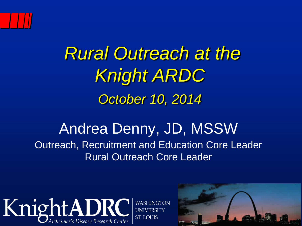

# *Rural Outreach at the Knight ARDC October 10, 2014*

#### Andrea Denny, JD, MSSW Outreach, Recruitment and Education Core Leader Rural Outreach Core Leader



**WASHINGTON** 

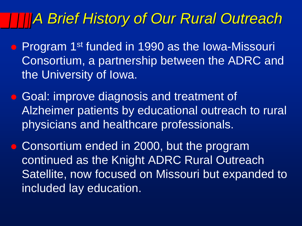#### *A Brief History of Our Rural Outreach*

- Program 1<sup>st</sup> funded in 1990 as the Iowa-Missouri Consortium, a partnership between the ADRC and the University of Iowa.
- Goal: improve diagnosis and treatment of Alzheimer patients by educational outreach to rural physicians and healthcare professionals.
- Consortium ended in 2000, but the program continued as the Knight ADRC Rural Outreach Satellite, now focused on Missouri but expanded to included lay education.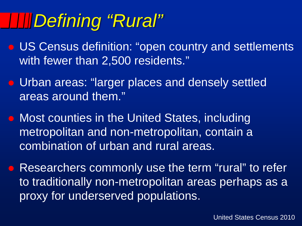# *Defining "Rural"*

- US Census definition: "open country and settlements with fewer than 2,500 residents."
- Urban areas: "larger places and densely settled areas around them."
- **Most counties in the United States, including** metropolitan and non-metropolitan, contain a combination of urban and rural areas.
- **Researchers commonly use the term "rural" to refer** to traditionally non-metropolitan areas perhaps as a proxy for underserved populations.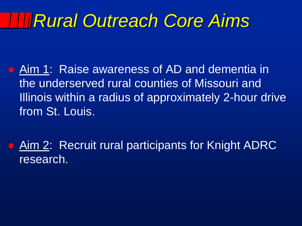## *Rural Outreach Core Aims*

- Aim 1: Raise awareness of AD and dementia in the underserved rural counties of Missouri and Illinois within a radius of approximately 2-hour drive from St. Louis.
	- Aim 2: Recruit rural participants for Knight ADRC research.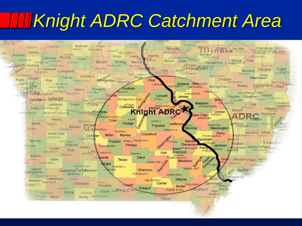# *Knight ADRC Catchment Area*

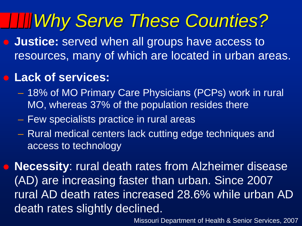# *Why Serve These Counties?*

 **Justice:** served when all groups have access to resources, many of which are located in urban areas.

#### **Lack of services:**

- 18% of MO Primary Care Physicians (PCPs) work in rural MO, whereas 37% of the population resides there
- Few specialists practice in rural areas
- Rural medical centers lack cutting edge techniques and access to technology

 **Necessity**: rural death rates from Alzheimer disease (AD) are increasing faster than urban. Since 2007 rural AD death rates increased 28.6% while urban AD death rates slightly declined.

Missouri Department of Health & Senior Services, 2007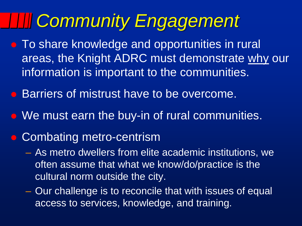# *Community Engagement*

- **To share knowledge and opportunities in rural** areas, the Knight ADRC must demonstrate why our information is important to the communities.
- **Barriers of mistrust have to be overcome.**
- We must earn the buy-in of rural communities.
- **Combating metro-centrism** 
	- As metro dwellers from elite academic institutions, we often assume that what we know/do/practice is the cultural norm outside the city.
	- Our challenge is to reconcile that with issues of equal access to services, knowledge, and training.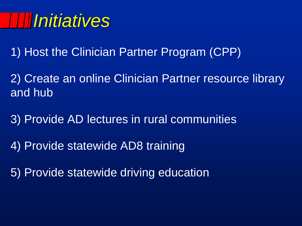## *Initiatives*

1) Host the Clinician Partner Program (CPP)

2) Create an online Clinician Partner resource library and hub

3) Provide AD lectures in rural communities

4) Provide statewide AD8 training

5) Provide statewide driving education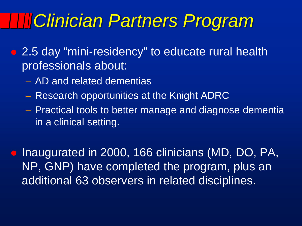### *Clinician Partners Program*

- 2.5 day "mini-residency" to educate rural health professionals about:
	- AD and related dementias
	- Research opportunities at the Knight ADRC
	- Practical tools to better manage and diagnose dementia in a clinical setting.

• Inaugurated in 2000, 166 clinicians (MD, DO, PA, NP, GNP) have completed the program, plus an additional 63 observers in related disciplines.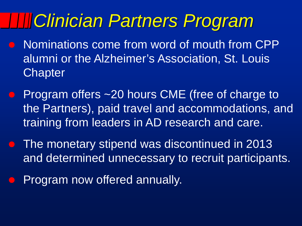### *Clinician Partners Program*

- Nominations come from word of mouth from CPP alumni or the Alzheimer's Association, St. Louis **Chapter**
- **Program offers ~20 hours CME (free of charge to** the Partners), paid travel and accommodations, and training from leaders in AD research and care.
- The monetary stipend was discontinued in 2013 and determined unnecessary to recruit participants.
- Program now offered annually.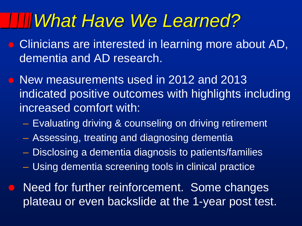#### *What Have We Learned?*

- **Clinicians are interested in learning more about AD,** dementia and AD research.
- New measurements used in 2012 and 2013 indicated positive outcomes with highlights including increased comfort with:
	- Evaluating driving & counseling on driving retirement
	- Assessing, treating and diagnosing dementia
	- Disclosing a dementia diagnosis to patients/families
	- Using dementia screening tools in clinical practice
- Need for further reinforcement. Some changes plateau or even backslide at the 1-year post test.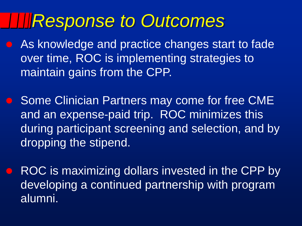#### *Response to Outcomes*

- As knowledge and practice changes start to fade over time, ROC is implementing strategies to maintain gains from the CPP.
- Some Clinician Partners may come for free CME and an expense-paid trip. ROC minimizes this during participant screening and selection, and by dropping the stipend.
- ROC is maximizing dollars invested in the CPP by developing a continued partnership with program alumni.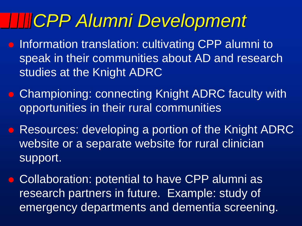# *CPP Alumni Development*

- **Information translation: cultivating CPP alumni to** speak in their communities about AD and research studies at the Knight ADRC
- Championing: connecting Knight ADRC faculty with opportunities in their rural communities
- **Resources: developing a portion of the Knight ADRC** website or a separate website for rural clinician support.
- Collaboration: potential to have CPP alumni as research partners in future. Example: study of emergency departments and dementia screening.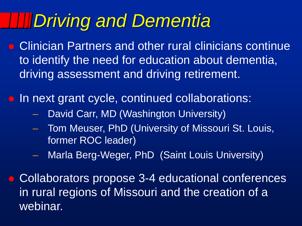# *Driving and Dementia*

- Clinician Partners and other rural clinicians continue to identify the need for education about dementia, driving assessment and driving retirement.
- **In next grant cycle, continued collaborations:** 
	- David Carr, MD (Washington University)
	- Tom Meuser, PhD (University of Missouri St. Louis, former ROC leader)
		- Marla Berg-Weger, PhD (Saint Louis University)
- Collaborators propose 3-4 educational conferences in rural regions of Missouri and the creation of a webinar.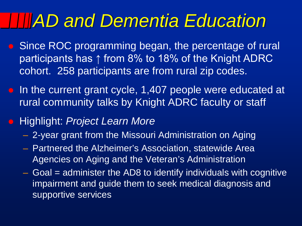### *AD and Dementia Education*

- **Since ROC programming began, the percentage of rural** participants has ↑ from 8% to 18% of the Knight ADRC cohort. 258 participants are from rural zip codes.
- In the current grant cycle, 1,407 people were educated at rural community talks by Knight ADRC faculty or staff
- Highlight: *Project Learn More*
	- 2-year grant from the Missouri Administration on Aging
	- Partnered the Alzheimer's Association, statewide Area Agencies on Aging and the Veteran's Administration
	- $-$  Goal  $=$  administer the AD8 to identify individuals with cognitive impairment and guide them to seek medical diagnosis and supportive services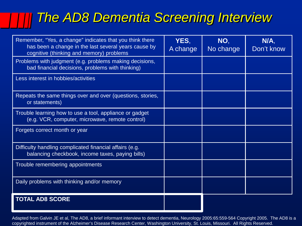#### *The AD8 Dementia Screening Interview*

| Remember, "Yes, a change" indicates that you think there<br>has been a change in the last several years cause by<br>cognitive (thinking and memory) problems | YES,<br>A change | NO,<br>No change | N/A,<br>Don't know |
|--------------------------------------------------------------------------------------------------------------------------------------------------------------|------------------|------------------|--------------------|
| Problems with judgment (e.g. problems making decisions,<br>bad financial decisions, problems with thinking)                                                  |                  |                  |                    |
| Less interest in hobbies/activities                                                                                                                          |                  |                  |                    |
| Repeats the same things over and over (questions, stories,<br>or statements)                                                                                 |                  |                  |                    |
| Trouble learning how to use a tool, appliance or gadget<br>(e.g. VCR, computer, microwave, remote control)                                                   |                  |                  |                    |
| Forgets correct month or year                                                                                                                                |                  |                  |                    |
| Difficulty handling complicated financial affairs (e.g.<br>balancing checkbook, income taxes, paying bills)                                                  |                  |                  |                    |
| Trouble remembering appointments                                                                                                                             |                  |                  |                    |
| Daily problems with thinking and/or memory                                                                                                                   |                  |                  |                    |
| <b>TOTAL AD8 SCORE</b>                                                                                                                                       |                  |                  |                    |

Adapted from Galvin JE et al, The AD8, a brief informant interview to detect dementia, Neurology 2005:65:559-564 Copyright 2005. The AD8 is a copyrighted instrument of the Alzheimer's Disease Research Center, Washington University, St. Louis, Missouri. All Rights Reserved.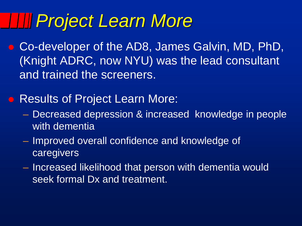## *Project Learn More*

- Co-developer of the AD8, James Galvin, MD, PhD, (Knight ADRC, now NYU) was the lead consultant and trained the screeners.
- **Results of Project Learn More:** 
	- Decreased depression & increased knowledge in people with dementia
	- Improved overall confidence and knowledge of caregivers
	- Increased likelihood that person with dementia would seek formal Dx and treatment.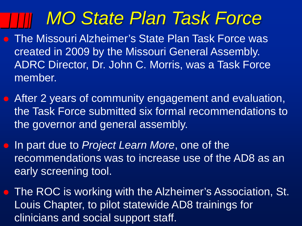## *MO State Plan Task Force*

- The Missouri Alzheimer's State Plan Task Force was created in 2009 by the Missouri General Assembly. ADRC Director, Dr. John C. Morris, was a Task Force member.
- After 2 years of community engagement and evaluation, the Task Force submitted six formal recommendations to the governor and general assembly.
- In part due to *Project Learn More*, one of the recommendations was to increase use of the AD8 as an early screening tool.
- **The ROC is working with the Alzheimer's Association, St.** Louis Chapter, to pilot statewide AD8 trainings for clinicians and social support staff.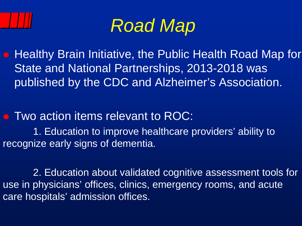



 Healthy Brain Initiative, the Public Health Road Map for State and National Partnerships, 2013-2018 was published by the CDC and Alzheimer's Association.

• Two action items relevant to ROC:

1. Education to improve healthcare providers' ability to recognize early signs of dementia.

2. Education about validated cognitive assessment tools for use in physicians' offices, clinics, emergency rooms, and acute care hospitals' admission offices.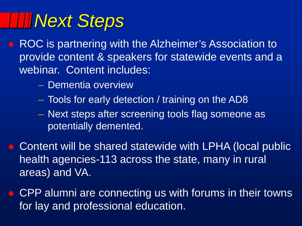# *Next Steps*

- ROC is partnering with the Alzheimer's Association to provide content & speakers for statewide events and a webinar. Content includes:
	- Dementia overview
	- Tools for early detection / training on the AD8
	- Next steps after screening tools flag someone as potentially demented.
- **Content will be shared statewide with LPHA (local public** health agencies-113 across the state, many in rural areas) and VA.
- **CPP alumni are connecting us with forums in their towns** for lay and professional education.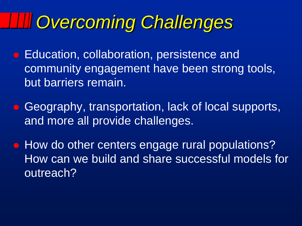# *Overcoming Challenges*

 Education, collaboration, persistence and community engagement have been strong tools, but barriers remain.

• Geography, transportation, lack of local supports, and more all provide challenges.

 $\bullet$  How do other centers engage rural populations? How can we build and share successful models for outreach?